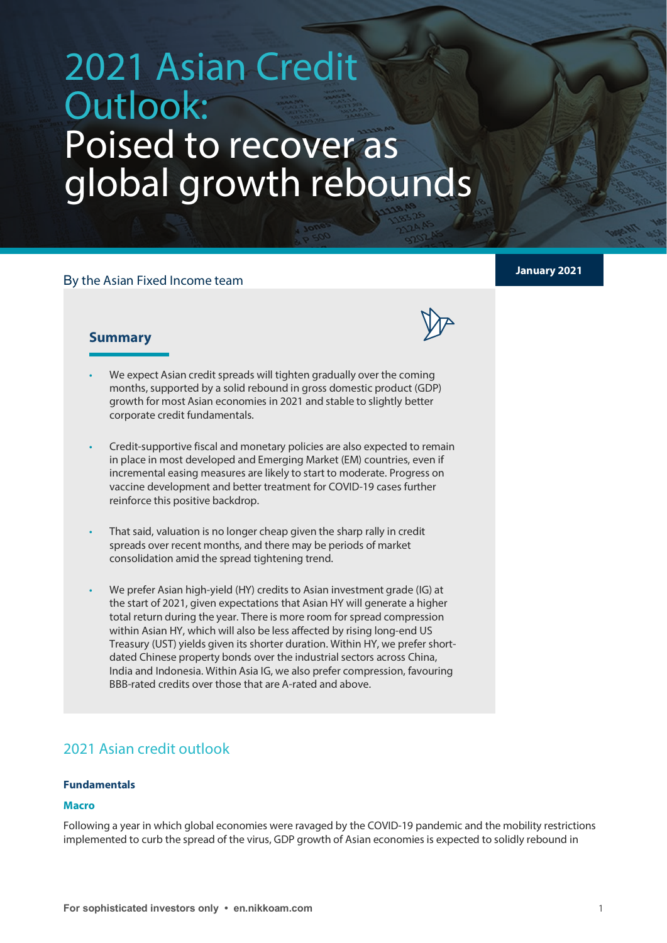# 2021 Asian Credit Outlook: Poised to recover as global growth rebounds

# **January 2021** <sup>B</sup>y the Asian Fixed Income team



### **Summary**

- We expect Asian credit spreads will tighten gradually over the coming months, supported by a solid rebound in gross domestic product (GDP) growth for most Asian economies in 2021 and stable to slightly better corporate credit fundamentals.
- Credit-supportive fiscal and monetary policies are also expected to remain in place in most developed and Emerging Market (EM) countries, even if incremental easing measures are likely to start to moderate. Progress on vaccine development and better treatment for COVID-19 cases further reinforce this positive backdrop.
- That said, valuation is no longer cheap given the sharp rally in credit spreads over recent months, and there may be periods of market consolidation amid the spread tightening trend.
- We prefer Asian high-yield (HY) credits to Asian investment grade (IG) at the start of 2021, given expectations that Asian HY will generate a higher total return during the year. There is more room for spread compression within Asian HY, which will also be less affected by rising long-end US Treasury (UST) yields given its shorter duration. Within HY, we prefer shortdated Chinese property bonds over the industrial sectors across China, India and Indonesia. Within Asia IG, we also prefer compression, favouring BBB-rated credits over those that are A-rated and above.

# 2021 Asian credit outlook

#### **Fundamentals**

#### **Macro**

Following a year in which global economies were ravaged by the COVID-19 pandemic and the mobility restrictions implemented to curb the spread of the virus, GDP growth of Asian economies is expected to solidly rebound in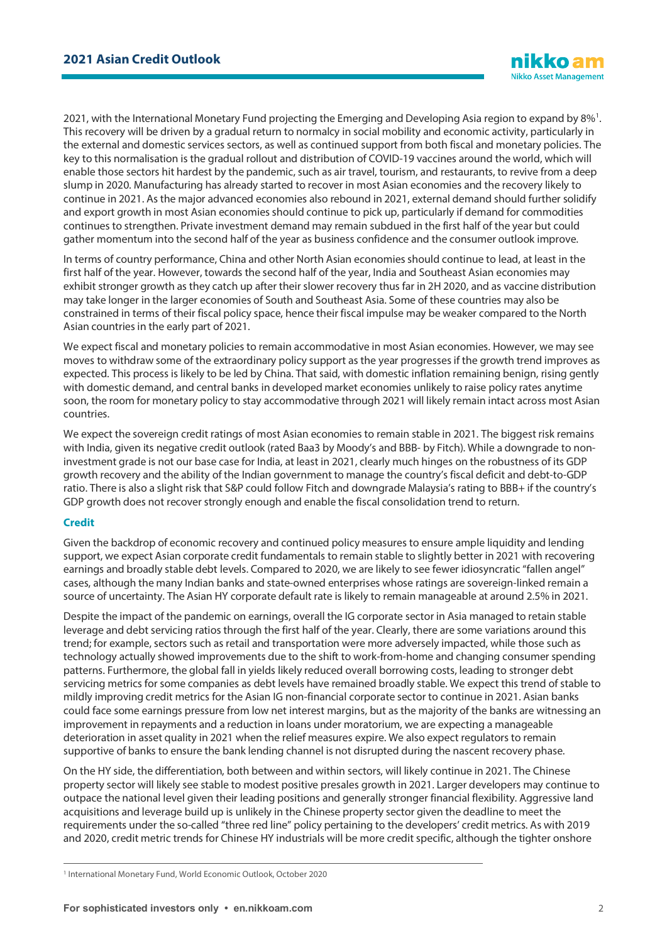202[1](#page-1-0), with the International Monetary Fund projecting the Emerging and Developing Asia region to expand by  $8\%$ <sup>1</sup>. This recovery will be driven by a gradual return to normalcy in social mobility and economic activity, particularly in the external and domestic services sectors, as well as continued support from both fiscal and monetary policies. The key to this normalisation is the gradual rollout and distribution of COVID-19 vaccines around the world, which will enable those sectors hit hardest by the pandemic, such as air travel, tourism, and restaurants, to revive from a deep slump in 2020. Manufacturing has already started to recover in most Asian economies and the recovery likely to continue in 2021. As the major advanced economies also rebound in 2021, external demand should further solidify and export growth in most Asian economies should continue to pick up, particularly if demand for commodities continues to strengthen. Private investment demand may remain subdued in the first half of the year but could gather momentum into the second half of the year as business confidence and the consumer outlook improve.

In terms of country performance, China and other North Asian economies should continue to lead, at least in the first half of the year. However, towards the second half of the year, India and Southeast Asian economies may exhibit stronger growth as they catch up after their slower recovery thus far in 2H 2020, and as vaccine distribution may take longer in the larger economies of South and Southeast Asia. Some of these countries may also be constrained in terms of their fiscal policy space, hence their fiscal impulse may be weaker compared to the North Asian countries in the early part of 2021.

We expect fiscal and monetary policies to remain accommodative in most Asian economies. However, we may see moves to withdraw some of the extraordinary policy support as the year progresses if the growth trend improves as expected. This process is likely to be led by China. That said, with domestic inflation remaining benign, rising gently with domestic demand, and central banks in developed market economies unlikely to raise policy rates anytime soon, the room for monetary policy to stay accommodative through 2021 will likely remain intact across most Asian countries.

We expect the sovereign credit ratings of most Asian economies to remain stable in 2021. The biggest risk remains with India, given its negative credit outlook (rated Baa3 by Moody's and BBB- by Fitch). While a downgrade to noninvestment grade is not our base case for India, at least in 2021, clearly much hinges on the robustness of its GDP growth recovery and the ability of the Indian government to manage the country's fiscal deficit and debt-to-GDP ratio. There is also a slight risk that S&P could follow Fitch and downgrade Malaysia's rating to BBB+ if the country's GDP growth does not recover strongly enough and enable the fiscal consolidation trend to return.

#### **Credit**

Given the backdrop of economic recovery and continued policy measures to ensure ample liquidity and lending support, we expect Asian corporate credit fundamentals to remain stable to slightly better in 2021 with recovering earnings and broadly stable debt levels. Compared to 2020, we are likely to see fewer idiosyncratic "fallen angel" cases, although the many Indian banks and state-owned enterprises whose ratings are sovereign-linked remain a source of uncertainty. The Asian HY corporate default rate is likely to remain manageable at around 2.5% in 2021.

Despite the impact of the pandemic on earnings, overall the IG corporate sector in Asia managed to retain stable leverage and debt servicing ratios through the first half of the year. Clearly, there are some variations around this trend; for example, sectors such as retail and transportation were more adversely impacted, while those such as technology actually showed improvements due to the shift to work-from-home and changing consumer spending patterns. Furthermore, the global fall in yields likely reduced overall borrowing costs, leading to stronger debt servicing metrics for some companies as debt levels have remained broadly stable. We expect this trend of stable to mildly improving credit metrics for the Asian IG non-financial corporate sector to continue in 2021. Asian banks could face some earnings pressure from low net interest margins, but as the majority of the banks are witnessing an improvement in repayments and a reduction in loans under moratorium, we are expecting a manageable deterioration in asset quality in 2021 when the relief measures expire. We also expect regulators to remain supportive of banks to ensure the bank lending channel is not disrupted during the nascent recovery phase.

On the HY side, the differentiation, both between and within sectors, will likely continue in 2021. The Chinese property sector will likely see stable to modest positive presales growth in 2021. Larger developers may continue to outpace the national level given their leading positions and generally stronger financial flexibility. Aggressive land acquisitions and leverage build up is unlikely in the Chinese property sector given the deadline to meet the requirements under the so-called "three red line" policy pertaining to the developers' credit metrics. As with 2019 and 2020, credit metric trends for Chinese HY industrials will be more credit specific, although the tighter onshore

<span id="page-1-0"></span><sup>1</sup> International Monetary Fund, World Economic Outlook, October 2020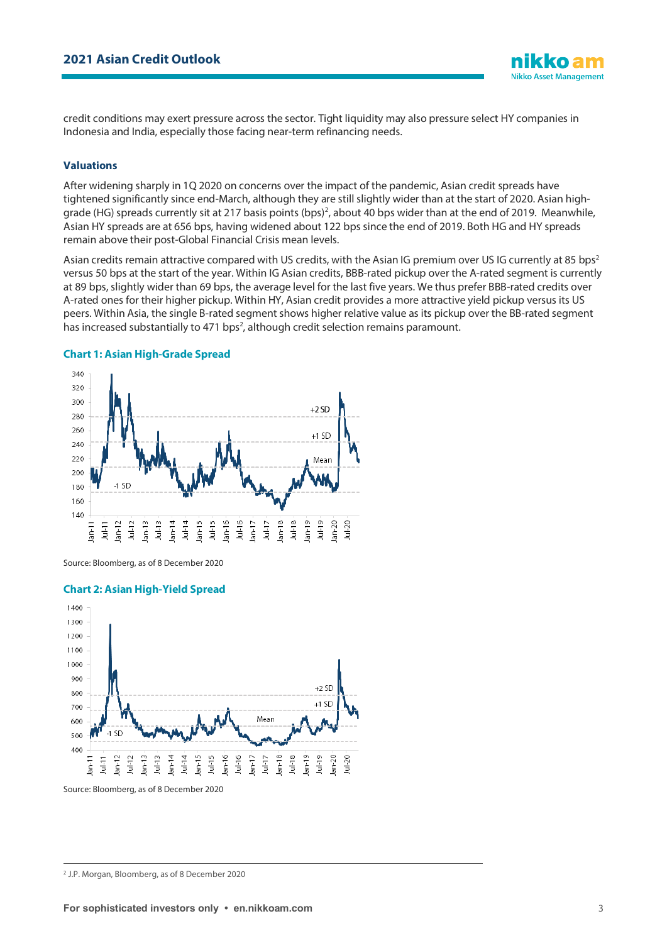credit conditions may exert pressure across the sector. Tight liquidity may also pressure select HY companies in Indonesia and India, especially those facing near-term refinancing needs.

#### **Valuations**

After widening sharply in 1Q 2020 on concerns over the impact of the pandemic, Asian credit spreads have tightened significantly since end-March, although they are still slightly wider than at the start of 2020. Asian high-grade (HG) spreads currently sit at [2](#page-2-0)17 basis points (bps)<sup>2</sup>, about 40 bps wider than at the end of 2019. Meanwhile, Asian HY spreads are at 656 bps, having widened about 122 bps since the end of 2019. Both HG and HY spreads remain above their post-Global Financial Crisis mean levels.

Asian credits remain attractive compared with US credits, with the Asian IG premium over US IG currently at 85 bps<sup>2</sup> versus 50 bps at the start of the year. Within IG Asian credits, BBB-rated pickup over the A-rated segment is currently at 89 bps, slightly wider than 69 bps, the average level for the last five years. We thus prefer BBB-rated credits over A-rated ones for their higher pickup. Within HY, Asian credit provides a more attractive yield pickup versus its US peers. Within Asia, the single B-rated segment shows higher relative value as its pickup over the BB-rated segment has increased substantially to 471 bps<sup>2</sup>, although credit selection remains paramount.

#### **Chart 1: Asian High-Grade Spread**



Source: Bloomberg, as of 8 December 2020

#### **Chart 2: Asian High-Yield Spread**



Source: Bloomberg, as of 8 December 2020

**Nikko Asset Management** 

<span id="page-2-0"></span><sup>2</sup> J.P. Morgan, Bloomberg, as of 8 December 2020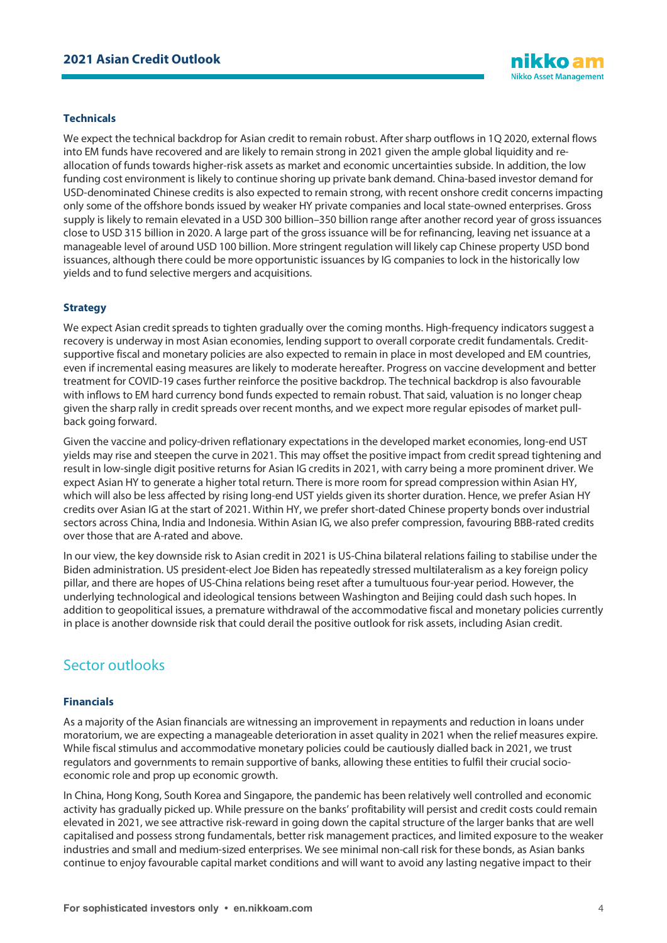#### **Technicals**

We expect the technical backdrop for Asian credit to remain robust. After sharp outflows in 1Q 2020, external flows into EM funds have recovered and are likely to remain strong in 2021 given the ample global liquidity and reallocation of funds towards higher-risk assets as market and economic uncertainties subside. In addition, the low funding cost environment is likely to continue shoring up private bank demand. China-based investor demand for USD-denominated Chinese credits is also expected to remain strong, with recent onshore credit concerns impacting only some of the offshore bonds issued by weaker HY private companies and local state-owned enterprises. Gross supply is likely to remain elevated in a USD 300 billion–350 billion range after another record year of gross issuances close to USD 315 billion in 2020. A large part of the gross issuance will be for refinancing, leaving net issuance at a manageable level of around USD 100 billion. More stringent regulation will likely cap Chinese property USD bond issuances, although there could be more opportunistic issuances by IG companies to lock in the historically low yields and to fund selective mergers and acquisitions.

#### **Strategy**

We expect Asian credit spreads to tighten gradually over the coming months. High-frequency indicators suggest a recovery is underway in most Asian economies, lending support to overall corporate credit fundamentals. Creditsupportive fiscal and monetary policies are also expected to remain in place in most developed and EM countries, even if incremental easing measures are likely to moderate hereafter. Progress on vaccine development and better treatment for COVID-19 cases further reinforce the positive backdrop. The technical backdrop is also favourable with inflows to EM hard currency bond funds expected to remain robust. That said, valuation is no longer cheap given the sharp rally in credit spreads over recent months, and we expect more regular episodes of market pullback going forward.

Given the vaccine and policy-driven reflationary expectations in the developed market economies, long-end UST yields may rise and steepen the curve in 2021. This may offset the positive impact from credit spread tightening and result in low-single digit positive returns for Asian IG credits in 2021, with carry being a more prominent driver. We expect Asian HY to generate a higher total return. There is more room for spread compression within Asian HY, which will also be less affected by rising long-end UST yields given its shorter duration. Hence, we prefer Asian HY credits over Asian IG at the start of 2021. Within HY, we prefer short-dated Chinese property bonds over industrial sectors across China, India and Indonesia. Within Asian IG, we also prefer compression, favouring BBB-rated credits over those that are A-rated and above.

In our view, the key downside risk to Asian credit in 2021 is US-China bilateral relations failing to stabilise under the Biden administration. US president-elect Joe Biden has repeatedly stressed multilateralism as a key foreign policy pillar, and there are hopes of US-China relations being reset after a tumultuous four-year period. However, the underlying technological and ideological tensions between Washington and Beijing could dash such hopes. In addition to geopolitical issues, a premature withdrawal of the accommodative fiscal and monetary policies currently in place is another downside risk that could derail the positive outlook for risk assets, including Asian credit.

## Sector outlooks

#### **Financials**

As a majority of the Asian financials are witnessing an improvement in repayments and reduction in loans under moratorium, we are expecting a manageable deterioration in asset quality in 2021 when the relief measures expire. While fiscal stimulus and accommodative monetary policies could be cautiously dialled back in 2021, we trust regulators and governments to remain supportive of banks, allowing these entities to fulfil their crucial socioeconomic role and prop up economic growth.

In China, Hong Kong, South Korea and Singapore, the pandemic has been relatively well controlled and economic activity has gradually picked up. While pressure on the banks' profitability will persist and credit costs could remain elevated in 2021, we see attractive risk-reward in going down the capital structure of the larger banks that are well capitalised and possess strong fundamentals, better risk management practices, and limited exposure to the weaker industries and small and medium-sized enterprises. We see minimal non-call risk for these bonds, as Asian banks continue to enjoy favourable capital market conditions and will want to avoid any lasting negative impact to their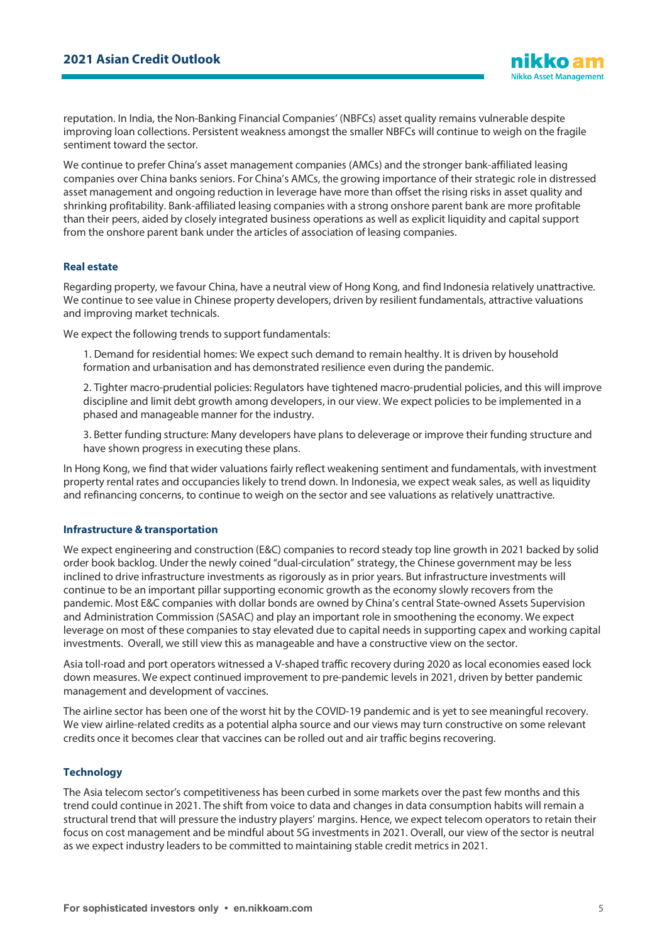reputation. In India, the Non-Banking Financial Companies' (NBFCs) asset quality remains vulnerable despite improving loan collections. Persistent weakness amongst the smaller NBFCs will continue to weigh on the fragile sentiment toward the sector.

We continue to prefer China's asset management companies (AMCs) and the stronger bank-affiliated leasing companies over China banks seniors. For China's AMCs, the growing importance of their strategic role in distressed asset management and ongoing reduction in leverage have more than offset the rising risks in asset quality and shrinking profitability. Bank-affiliated leasing companies with a strong onshore parent bank are more profitable than their peers, aided by closely integrated business operations as well as explicit liquidity and capital support from the onshore parent bank under the articles of association of leasing companies.

#### **Real estate**

Regarding property, we favour China, have a neutral view of Hong Kong, and find Indonesia relatively unattractive. We continue to see value in Chinese property developers, driven by resilient fundamentals, attractive valuations and improving market technicals.

We expect the following trends to support fundamentals:

1. Demand for residential homes: We expect such demand to remain healthy. It is driven by household formation and urbanisation and has demonstrated resilience even during the pandemic.

2. Tighter macro-prudential policies: Regulators have tightened macro-prudential policies, and this will improve discipline and limit debt growth among developers, in our view. We expect policies to be implemented in a phased and manageable manner for the industry.

3. Better funding structure: Many developers have plans to deleverage or improve their funding structure and have shown progress in executing these plans.

In Hong Kong, we find that wider valuations fairly reflect weakening sentiment and fundamentals, with investment property rental rates and occupancies likely to trend down. In Indonesia, we expect weak sales, as well as liquidity and refinancing concerns, to continue to weigh on the sector and see valuations as relatively unattractive.

#### **Infrastructure & transportation**

We expect engineering and construction (E&C) companies to record steady top line growth in 2021 backed by solid order book backlog. Under the newly coined "dual-circulation" strategy, the Chinese government may be less inclined to drive infrastructure investments as rigorously as in prior years. But infrastructure investments will continue to be an important pillar supporting economic growth as the economy slowly recovers from the pandemic. Most E&C companies with dollar bonds are owned by China's central State-owned Assets Supervision and Administration Commission (SASAC) and play an important role in smoothening the economy. We expect leverage on most of these companies to stay elevated due to capital needs in supporting capex and working capital investments. Overall, we still view this as manageable and have a constructive view on the sector.

Asia toll-road and port operators witnessed a V-shaped traffic recovery during 2020 as local economies eased lock down measures. We expect continued improvement to pre-pandemic levels in 2021, driven by better pandemic management and development of vaccines.

The airline sector has been one of the worst hit by the COVID-19 pandemic and is yet to see meaningful recovery. We view airline-related credits as a potential alpha source and our views may turn constructive on some relevant credits once it becomes clear that vaccines can be rolled out and air traffic begins recovering.

#### **Technology**

The Asia telecom sector's competitiveness has been curbed in some markets over the past few months and this trend could continue in 2021. The shift from voice to data and changes in data consumption habits will remain a structural trend that will pressure the industry players' margins. Hence, we expect telecom operators to retain their focus on cost management and be mindful about 5G investments in 2021. Overall, our view of the sector is neutral as we expect industry leaders to be committed to maintaining stable credit metrics in 2021.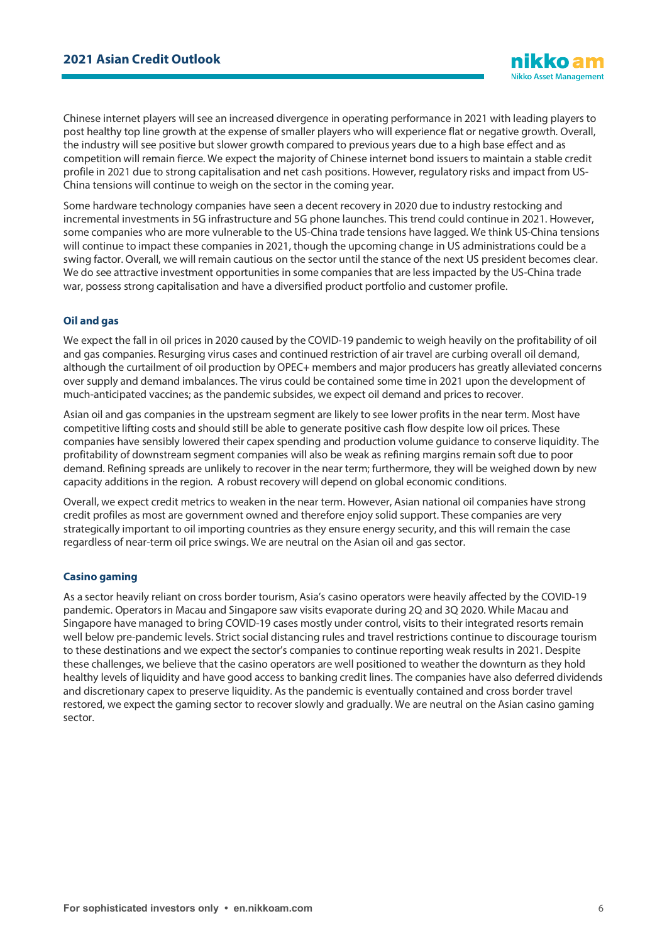Chinese internet players will see an increased divergence in operating performance in 2021 with leading players to post healthy top line growth at the expense of smaller players who will experience flat or negative growth. Overall, the industry will see positive but slower growth compared to previous years due to a high base effect and as competition will remain fierce. We expect the majority of Chinese internet bond issuers to maintain a stable credit profile in 2021 due to strong capitalisation and net cash positions. However, regulatory risks and impact from US-China tensions will continue to weigh on the sector in the coming year.

Some hardware technology companies have seen a decent recovery in 2020 due to industry restocking and incremental investments in 5G infrastructure and 5G phone launches. This trend could continue in 2021. However, some companies who are more vulnerable to the US-China trade tensions have lagged. We think US-China tensions will continue to impact these companies in 2021, though the upcoming change in US administrations could be a swing factor. Overall, we will remain cautious on the sector until the stance of the next US president becomes clear. We do see attractive investment opportunities in some companies that are less impacted by the US-China trade war, possess strong capitalisation and have a diversified product portfolio and customer profile.

#### **Oil and gas**

We expect the fall in oil prices in 2020 caused by the COVID-19 pandemic to weigh heavily on the profitability of oil and gas companies. Resurging virus cases and continued restriction of air travel are curbing overall oil demand, although the curtailment of oil production by OPEC+ members and major producers has greatly alleviated concerns over supply and demand imbalances. The virus could be contained some time in 2021 upon the development of much-anticipated vaccines; as the pandemic subsides, we expect oil demand and prices to recover.

Asian oil and gas companies in the upstream segment are likely to see lower profits in the near term. Most have competitive lifting costs and should still be able to generate positive cash flow despite low oil prices. These companies have sensibly lowered their capex spending and production volume guidance to conserve liquidity. The profitability of downstream segment companies will also be weak as refining margins remain soft due to poor demand. Refining spreads are unlikely to recover in the near term; furthermore, they will be weighed down by new capacity additions in the region. A robust recovery will depend on global economic conditions.

Overall, we expect credit metrics to weaken in the near term. However, Asian national oil companies have strong credit profiles as most are government owned and therefore enjoy solid support. These companies are very strategically important to oil importing countries as they ensure energy security, and this will remain the case regardless of near-term oil price swings. We are neutral on the Asian oil and gas sector.

#### **Casino gaming**

As a sector heavily reliant on cross border tourism, Asia's casino operators were heavily affected by the COVID-19 pandemic. Operators in Macau and Singapore saw visits evaporate during 2Q and 3Q 2020. While Macau and Singapore have managed to bring COVID-19 cases mostly under control, visits to their integrated resorts remain well below pre-pandemic levels. Strict social distancing rules and travel restrictions continue to discourage tourism to these destinations and we expect the sector's companies to continue reporting weak results in 2021. Despite these challenges, we believe that the casino operators are well positioned to weather the downturn as they hold healthy levels of liquidity and have good access to banking credit lines. The companies have also deferred dividends and discretionary capex to preserve liquidity. As the pandemic is eventually contained and cross border travel restored, we expect the gaming sector to recover slowly and gradually. We are neutral on the Asian casino gaming sector.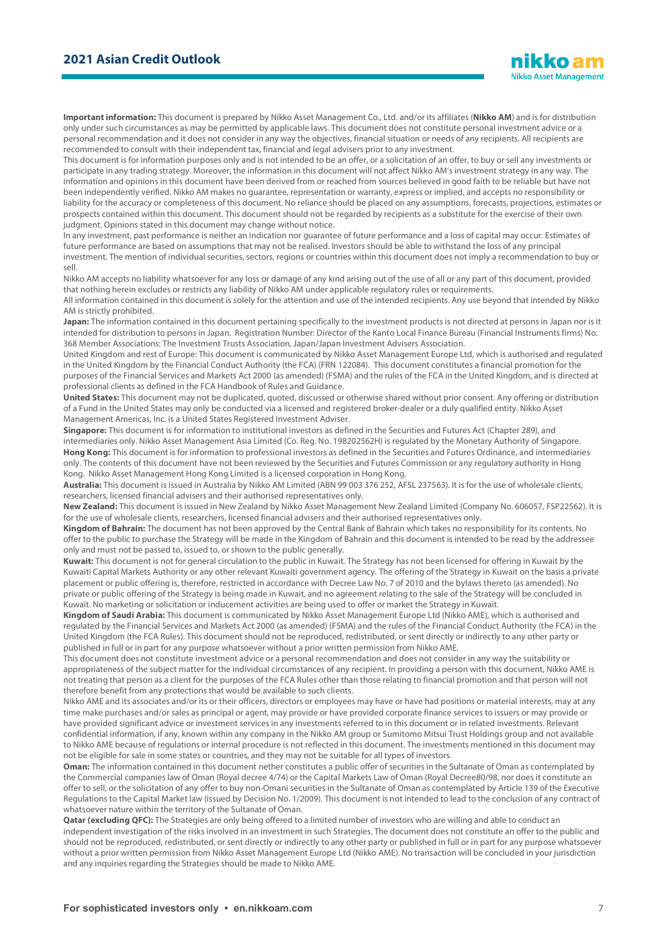**Important information:** This document is prepared by Nikko Asset Management Co., Ltd. and/or its affiliates (**Nikko AM**) and is for distribution only under such circumstances as may be permitted by applicable laws. This document does not constitute personal investment advice or a personal recommendation and it does not consider in any way the objectives, financial situation or needs of any recipients. All recipients are recommended to consult with their independent tax, financial and legal advisers prior to any investment.

This document is for information purposes only and is not intended to be an offer, or a solicitation of an offer, to buy or sell any investments or participate in any trading strategy. Moreover, the information in this document will not affect Nikko AM's investment strategy in any way. The information and opinions in this document have been derived from or reached from sources believed in good faith to be reliable but have not been independently verified. Nikko AM makes no guarantee, representation or warranty, express or implied, and accepts no responsibility or liability for the accuracy or completeness of this document. No reliance should be placed on any assumptions, forecasts, projections, estimates or prospects contained within this document. This document should not be regarded by recipients as a substitute for the exercise of their own judgment. Opinions stated in this document may change without notice.

In any investment, past performance is neither an indication nor guarantee of future performance and a loss of capital may occur. Estimates of future performance are based on assumptions that may not be realised. Investors should be able to withstand the loss of any principal investment. The mention of individual securities, sectors, regions or countries within this document does not imply a recommendation to buy or sell.

Nikko AM accepts no liability whatsoever for any loss or damage of any kind arising out of the use of all or any part of this document, provided that nothing herein excludes or restricts any liability of Nikko AM under applicable regulatory rules or requirements.

All information contained in this document is solely for the attention and use of the intended recipients. Any use beyond that intended by Nikko AM is strictly prohibited.

Japan: The information contained in this document pertaining specifically to the investment products is not directed at persons in Japan nor is it intended for distribution to persons in Japan. Registration Number: Director of the Kanto Local Finance Bureau (Financial Instruments firms) No. 368 Member Associations: The Investment Trusts Association, Japan/Japan Investment Advisers Association.

United Kingdom and rest of Europe: This document is communicated by Nikko Asset Management Europe Ltd, which is authorised and regulated in the United Kingdom by the Financial Conduct Authority (the FCA) (FRN 122084). This document constitutes a financial promotion for the purposes of the Financial Services and Markets Act 2000 (as amended) (FSMA) and the rules of the FCA in the United Kingdom, and is directed at professional clients as defined in the FCA Handbook of Rules and Guidance.

**United States:** This document may not be duplicated, quoted, discussed or otherwise shared without prior consent. Any offering or distribution of a Fund in the United States may only be conducted via a licensed and registered broker-dealer or a duly qualified entity. Nikko Asset Management Americas, Inc. is a United States Registered Investment Adviser.

**Singapore:** This document is for information to institutional investors as defined in the Securities and Futures Act (Chapter 289), and intermediaries only. Nikko Asset Management Asia Limited (Co. Reg. No. 198202562H) is regulated by the Monetary Authority of Singapore. **Hong Kong:** This document is for information to professional investors as defined in the Securities and Futures Ordinance, and intermediaries only. The contents of this document have not been reviewed by the Securities and Futures Commission or any regulatory authority in Hong Kong. Nikko Asset Management Hong Kong Limited is a licensed corporation in Hong Kong.

**Australia:** This document is issued in Australia by Nikko AM Limited (ABN 99 003 376 252, AFSL 237563). It is for the use of wholesale clients, researchers, licensed financial advisers and their authorised representatives only.

**New Zealand:** This document is issued in New Zealand by Nikko Asset Management New Zealand Limited (Company No. 606057, FSP22562). It is for the use of wholesale clients, researchers, licensed financial advisers and their authorised representatives only.

**Kingdom of Bahrain:** The document has not been approved by the Central Bank of Bahrain which takes no responsibility for its contents. No offer to the public to purchase the Strategy will be made in the Kingdom of Bahrain and this document is intended to be read by the addressee only and must not be passed to, issued to, or shown to the public generally.

**Kuwait:** This document is not for general circulation to the public in Kuwait. The Strategy has not been licensed for offering in Kuwait by the Kuwaiti Capital Markets Authority or any other relevant Kuwaiti government agency. The offering of the Strategy in Kuwait on the basis a private placement or public offering is, therefore, restricted in accordance with Decree Law No. 7 of 2010 and the bylaws thereto (as amended). No private or public offering of the Strategy is being made in Kuwait, and no agreement relating to the sale of the Strategy will be concluded in Kuwait. No marketing or solicitation or inducement activities are being used to offer or market the Strategy in Kuwait.

**Kingdom of Saudi Arabia:** This document is communicated by Nikko Asset Management Europe Ltd (Nikko AME), which is authorised and regulated by the Financial Services and Markets Act 2000 (as amended) (FSMA) and the rules of the Financial Conduct Authority (the FCA) in the United Kingdom (the FCA Rules). This document should not be reproduced, redistributed, or sent directly or indirectly to any other party or published in full or in part for any purpose whatsoever without a prior written permission from Nikko AME.

This document does not constitute investment advice or a personal recommendation and does not consider in any way the suitability or appropriateness of the subject matter for the individual circumstances of any recipient. In providing a person with this document, Nikko AME is not treating that person as a client for the purposes of the FCA Rules other than those relating to financial promotion and that person will not therefore benefit from any protections that would be available to such clients.

Nikko AME and its associates and/or its or their officers, directors or employees may have or have had positions or material interests, may at any time make purchases and/or sales as principal or agent, may provide or have provided corporate finance services to issuers or may provide or have provided significant advice or investment services in any investments referred to in this document or in related investments. Relevant confidential information, if any, known within any company in the Nikko AM group or Sumitomo Mitsui Trust Holdings group and not available to Nikko AME because of regulations or internal procedure is not reflected in this document. The investments mentioned in this document may not be eligible for sale in some states or countries, and they may not be suitable for all types of investors.

**Oman:** The information contained in this document nether constitutes a public offer of securities in the Sultanate of Oman as contemplated by the Commercial companies law of Oman (Royal decree 4/74) or the Capital Markets Law of Oman (Royal Decree80/98, nor does it constitute an offer to sell, or the solicitation of any offer to buy non-Omani securities in the Sultanate of Oman as contemplated by Article 139 of the Executive Regulations to the Capital Market law (issued by Decision No. 1/2009). This document is not intended to lead to the conclusion of any contract of whatsoever nature within the territory of the Sultanate of Oman.

**Qatar (excluding QFC):** The Strategies are only being offered to a limited number of investors who are willing and able to conduct an independent investigation of the risks involved in an investment in such Strategies. The document does not constitute an offer to the public and should not be reproduced, redistributed, or sent directly or indirectly to any other party or published in full or in part for any purpose whatsoever without a prior written permission from Nikko Asset Management Europe Ltd (Nikko AME). No transaction will be concluded in your jurisdiction and any inquiries regarding the Strategies should be made to Nikko AME.